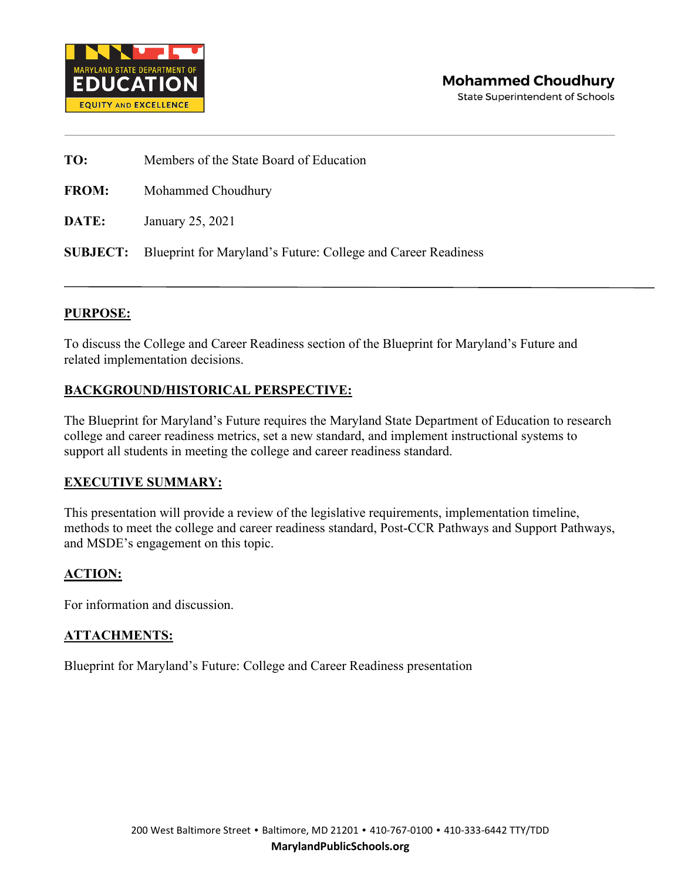

**TO:** Members of the State Board of Education

**FROM:** Mohammed Choudhury

**DATE:** January 25, 2021

**SUBJECT:** Blueprint for Maryland's Future: College and Career Readiness

#### **PURPOSE:**

To discuss the College and Career Readiness section of the Blueprint for Maryland's Future and related implementation decisions.

#### **BACKGROUND/HISTORICAL PERSPECTIVE:**

The Blueprint for Maryland's Future requires the Maryland State Department of Education to research college and career readiness metrics, set a new standard, and implement instructional systems to support all students in meeting the college and career readiness standard.

#### **EXECUTIVE SUMMARY:**

This presentation will provide a review of the legislative requirements, implementation timeline, methods to meet the college and career readiness standard, Post-CCR Pathways and Support Pathways, and MSDE's engagement on this topic.

#### **ACTION:**

For information and discussion.

#### **ATTACHMENTS:**

Blueprint for Maryland's Future: College and Career Readiness presentation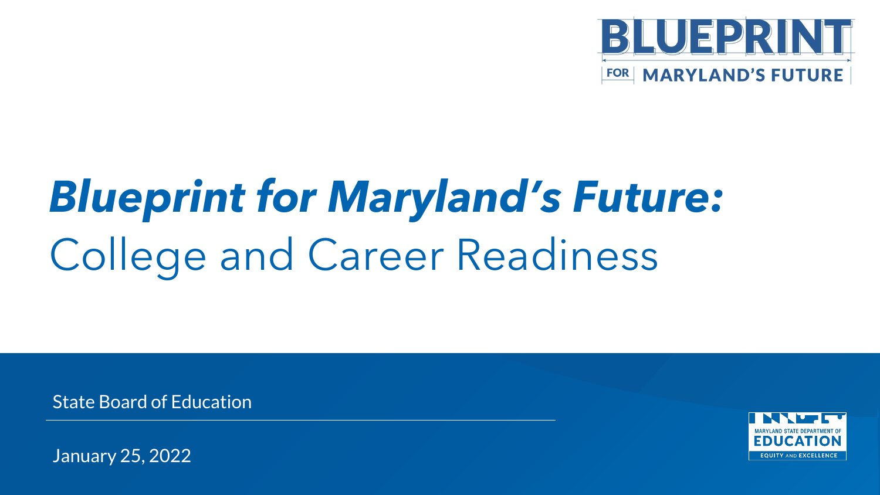

# *Blueprint for Maryland's Future:*  College and Career Readiness

State Board of Education



January 25, 2022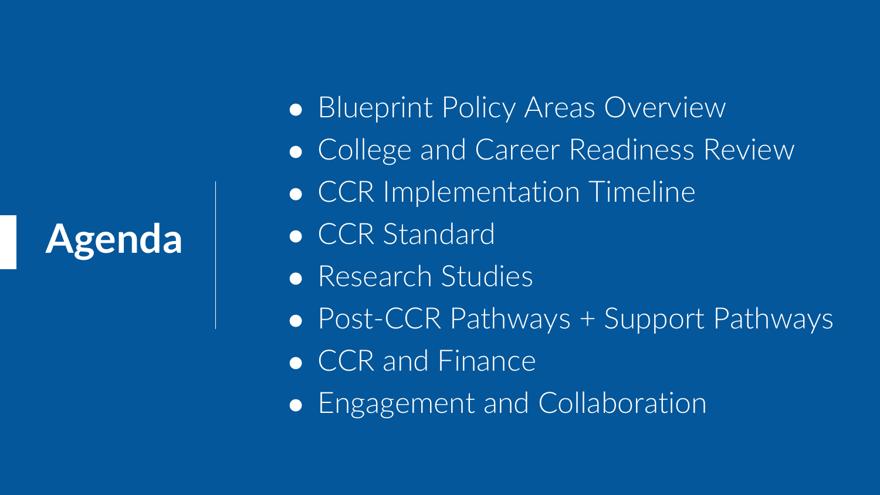**Agenda**

● Blueprint Policy Areas Overview • College and Career Readiness Review ● CCR Implementation Timeline ● CCR Standard ● Research Studies ● Post-CCR Pathways + Support Pathways • CCR and Finance • Engagement and Collaboration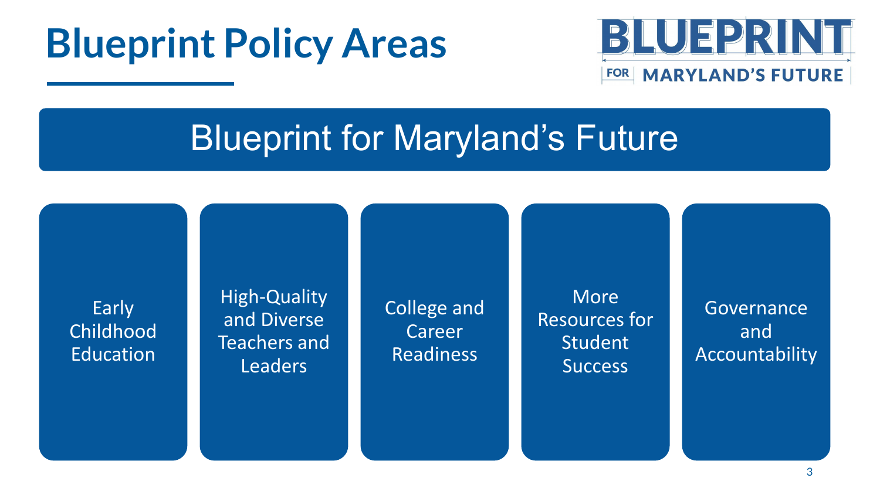## **Blueprint Policy Areas**



## Blueprint for Maryland's Future

Early Childhood Education

High-Quality and Diverse Teachers and Leaders

College and Career Readiness

More Resources for Student **Success** 

**Governance** and **Accountability**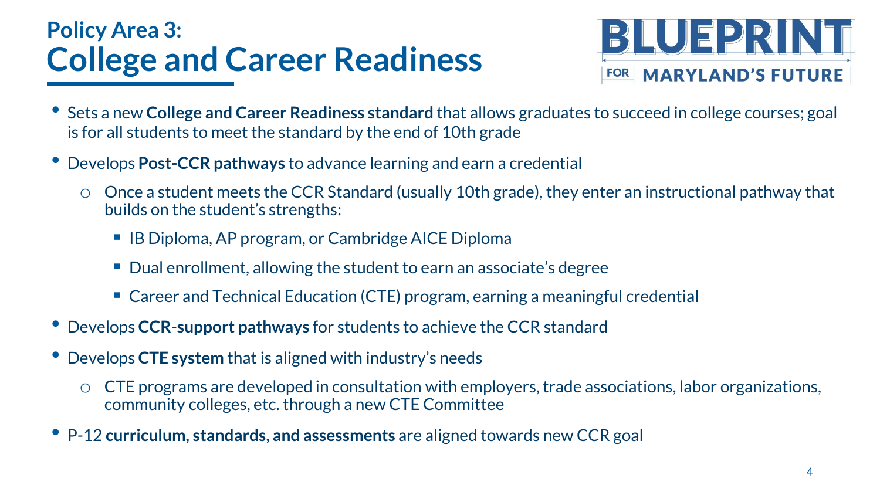## **Policy Area 3: College and Career Readiness**



- Sets a new **College and Career Readiness standard** that allows graduates to succeed in college courses; goal is for all students to meet the standard by the end of 10th grade
- Develops **Post-CCR pathways** to advance learning and earn a credential
	- Once a student meets the CCR Standard (usually 10th grade), they enter an instructional pathway that builds on the student's strengths:
		- IB Diploma, AP program, or Cambridge AICE Diploma
		- Dual enrollment, allowing the student to earn an associate's degree
		- Career and Technical Education (CTE) program, earning a meaningful credential
- Develops **CCR-support pathways** for students to achieve the CCR standard
- Develops **CTE system** that is aligned with industry's needs
	- CTE programs are developed in consultation with employers, trade associations, labor organizations, community colleges, etc. through a new CTE Committee
- P-12 **curriculum, standards, and assessments** are aligned towards new CCR goal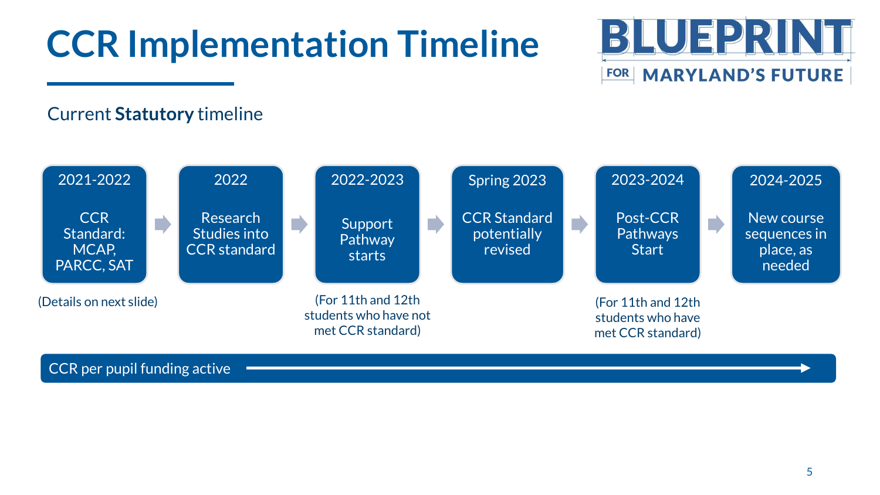## **CCR Implementation Timeline**



### Current **Statutory** timeline

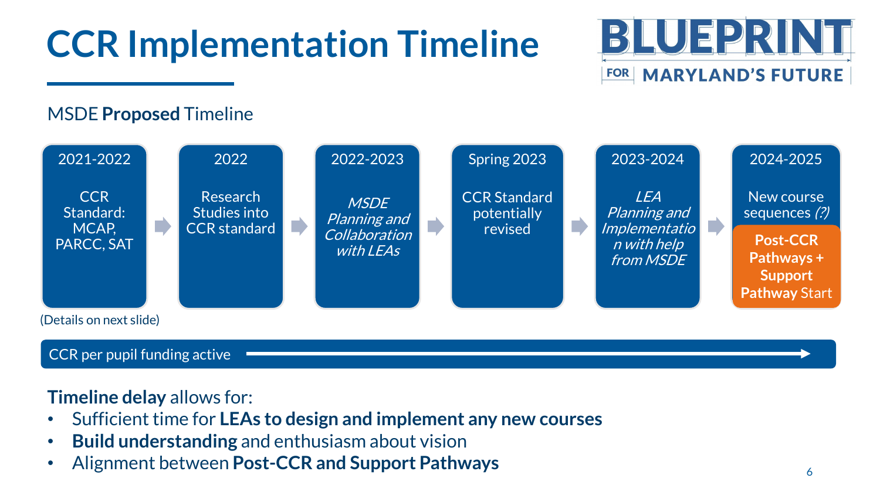# **CCR Implementation Timeline**



### MSDE **Proposed** Timeline



#### CCR per pupil funding active

**Timeline delay** allows for:

- Sufficient time for **LEAs to design and implement any new courses**
- **Build understanding** and enthusiasm about vision
- Alignment between **Post-CCR and Support Pathways** <sup>6</sup>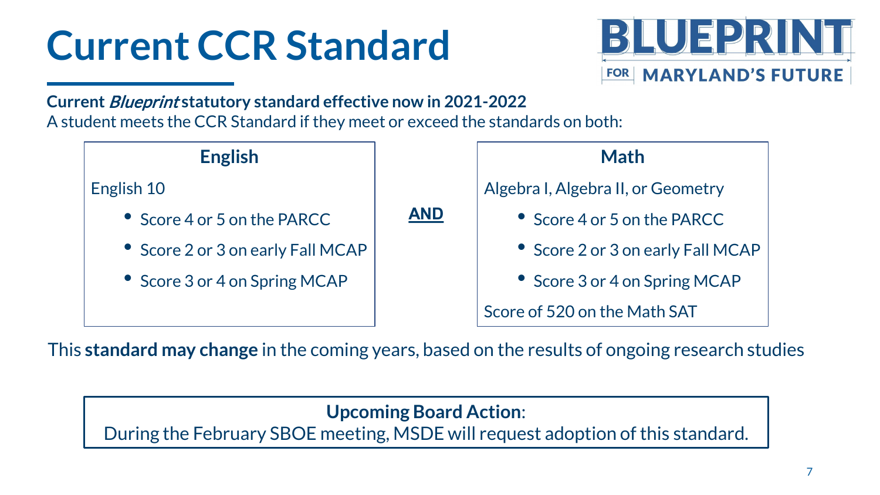# **Current CCR Standard**



**Current** Blueprint **statutory standard effective now in 2021-2022** A student meets the CCR Standard if they meet or exceed the standards on both:



This **standard may change** in the coming years, based on the results of ongoing research studies

**Upcoming Board Action**:

During the February SBOE meeting, MSDE will request adoption of this standard.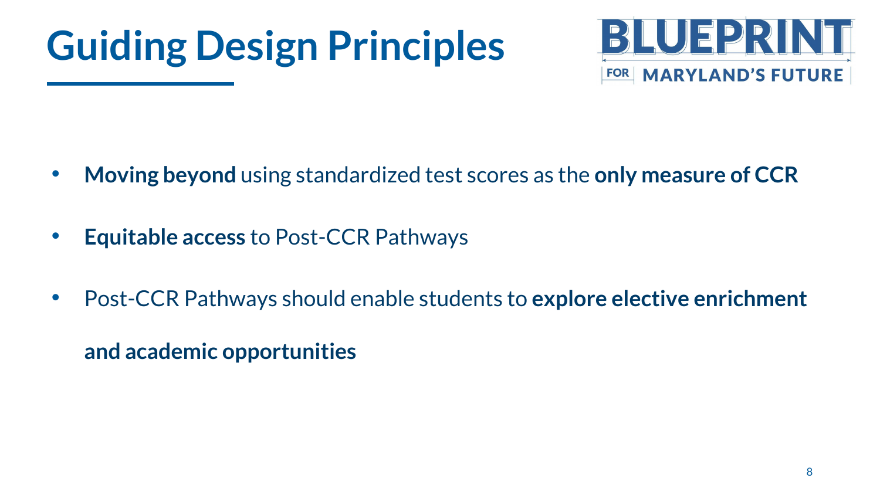## **Guiding Design Principles**



- **Moving beyond** using standardized test scores as the **only measure of CCR**
- **Equitable access** to Post-CCR Pathways
- Post-CCR Pathways should enable students to **explore elective enrichment**

**and academic opportunities**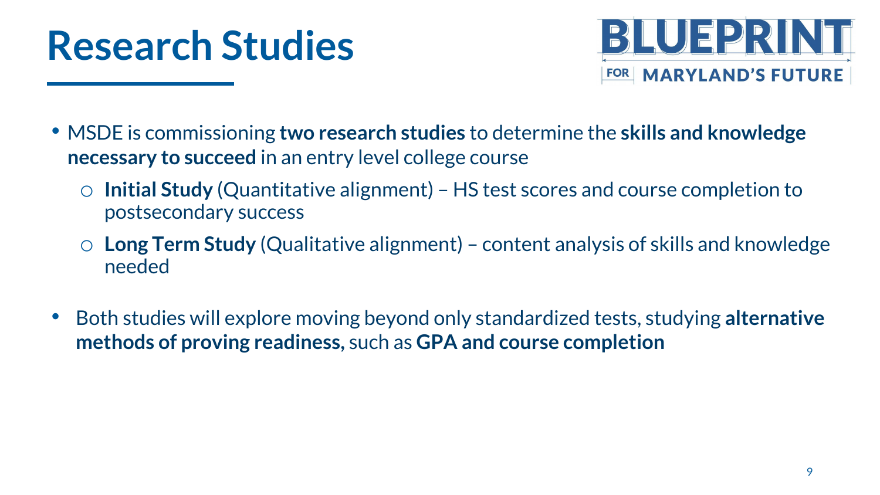



- MSDE is commissioning **two research studies** to determine the **skills and knowledge necessary to succeed** in an entry level college course
	- **Initial Study** (Quantitative alignment) HS test scores and course completion to postsecondary success
	- o **Long Term Study** (Qualitative alignment) content analysis of skills and knowledge needed
- Both studies will explore moving beyond only standardized tests, studying **alternative methods of proving readiness,** such as **GPA and course completion**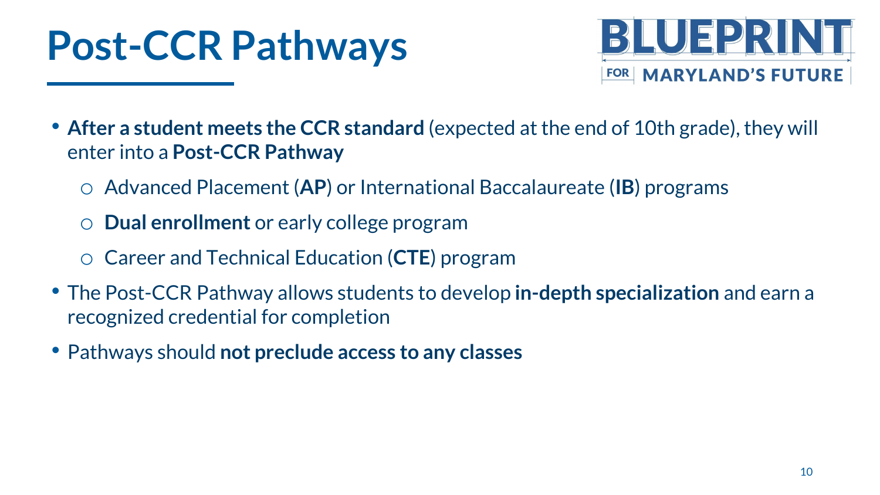## **Post-CCR Pathways**



• **After a student meets the CCR standard** (expected at the end of 10th grade), they will enter into a **Post-CCR Pathway**

- o Advanced Placement (**AP**) or International Baccalaureate (**IB**) programs
- **Dual enrollment** or early college program
- o Career and Technical Education (**CTE**) program
- The Post-CCR Pathway allows students to develop **in-depth specialization** and earn a recognized credential for completion
- Pathways should **not preclude access to any classes**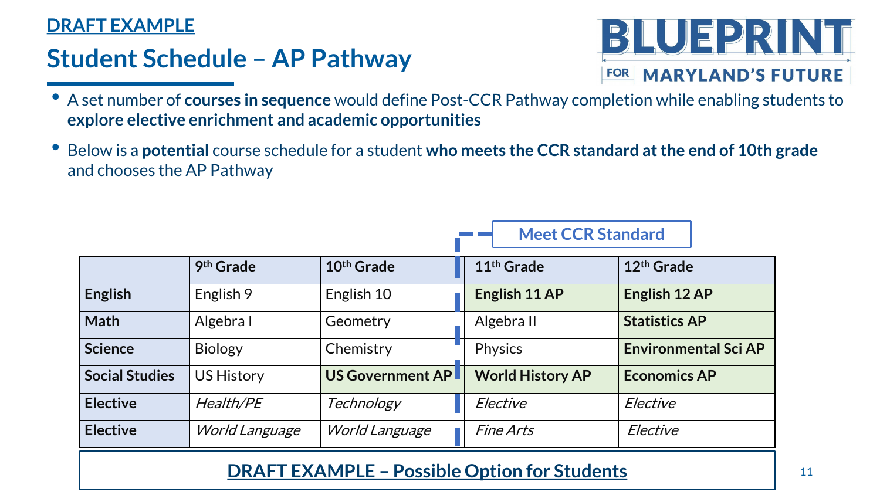### **DRAFT EXAMPLE**

### **Student Schedule – AP Pathway**



- A set number of **courses in sequence** would define Post-CCR Pathway completion while enabling students to **explore elective enrichment and academic opportunities**
- Below is a **potential** course schedule for a student **who meets the CCR standard at the end of 10th grade**  and chooses the AP Pathway

|                                                     |                       |                         | <b>Meet CCR Standard</b> |                             |  |  |  |
|-----------------------------------------------------|-----------------------|-------------------------|--------------------------|-----------------------------|--|--|--|
|                                                     | 9th Grade             | 10 <sup>th</sup> Grade  | 11 <sup>th</sup> Grade   | 12 <sup>th</sup> Grade      |  |  |  |
| <b>English</b>                                      | English 9             | English 10              | English 11 AP            | English 12 AP               |  |  |  |
| <b>Math</b>                                         | Algebra I             | Geometry                | Algebra II               | <b>Statistics AP</b>        |  |  |  |
| <b>Science</b>                                      | <b>Biology</b>        | Chemistry               | <b>Physics</b>           | <b>Environmental Sci AP</b> |  |  |  |
| <b>Social Studies</b>                               | <b>US History</b>     | <b>US Government AP</b> | <b>World History AP</b>  | <b>Economics AP</b>         |  |  |  |
| <b>Elective</b>                                     | Health/PE             | Technology              | Elective                 | Elective                    |  |  |  |
| <b>Elective</b>                                     | <b>World Language</b> | <b>World Language</b>   | <b>Fine Arts</b>         | Elective                    |  |  |  |
| <b>DRAFT EXAMPLE - Possible Option for Students</b> |                       |                         |                          |                             |  |  |  |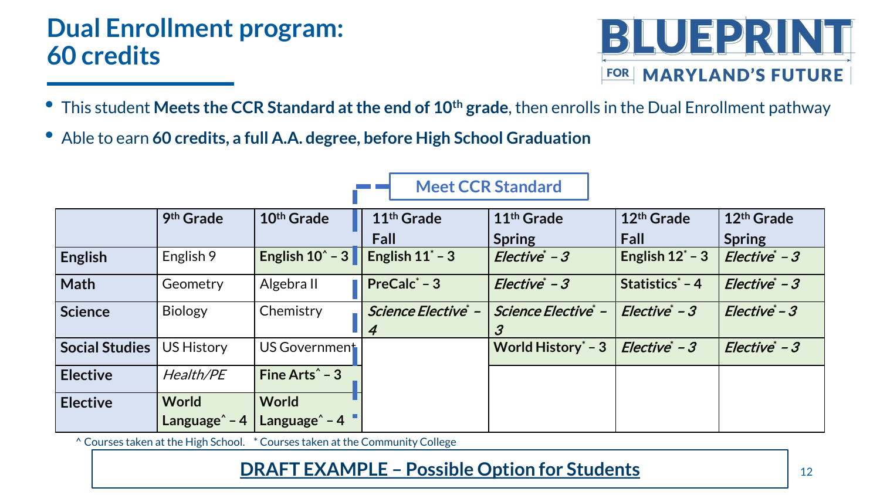### **Dual Enrollment program: 60 credits**



• This student **Meets the CCR Standard at the end of 10th grade**, then enrolls in the Dual Enrollment pathway

**Meet CCR Standard**

• Able to earn **60 credits, a full A.A. degree, before High School Graduation**

|                 | 9 <sup>th</sup> Grade | 10 <sup>th</sup> Grade     | 11 <sup>th</sup> Grade                | 11 <sup>th</sup> Grade | 12 <sup>th</sup> Grade | 12 <sup>th</sup> Grade |
|-----------------|-----------------------|----------------------------|---------------------------------------|------------------------|------------------------|------------------------|
|                 |                       |                            | Fall                                  | <b>Spring</b>          | Fall                   | <b>Spring</b>          |
| <b>English</b>  | English 9             | English $10^{\circ}$ - 3   | English $11^*$ – 3                    | Elective* - 3          | English $12^*$ – 3     | Elective* - 3          |
| Math            | Geometry              | Algebra II                 | PreCalc $*$ – 3                       | Elective* - 3          | Statistics* - 4        | $Electric * -3$        |
| Science         | <b>Biology</b>        | Chemistry                  | Science Elective* -<br>$\overline{4}$ | Science Elective* -    | $Electric^*-3$         | $Electric -3$          |
| Social Studies  | US History            | US Government              |                                       | World History $*$ – 3  | Elective* - 3          | $Electric -3$          |
| <b>Elective</b> | Health/PE             | Fine Arts <sup>^</sup> - 3 |                                       |                        |                        |                        |
| <b>Elective</b> | <b>World</b>          | <b>World</b>               |                                       |                        |                        |                        |
|                 | Language^ – 4         | Language <sup>^</sup> - 4  |                                       |                        |                        |                        |

^ Courses taken at the High School. \* Courses taken at the Community College

### **DRAFT EXAMPLE – Possible Option for Students** 2022 12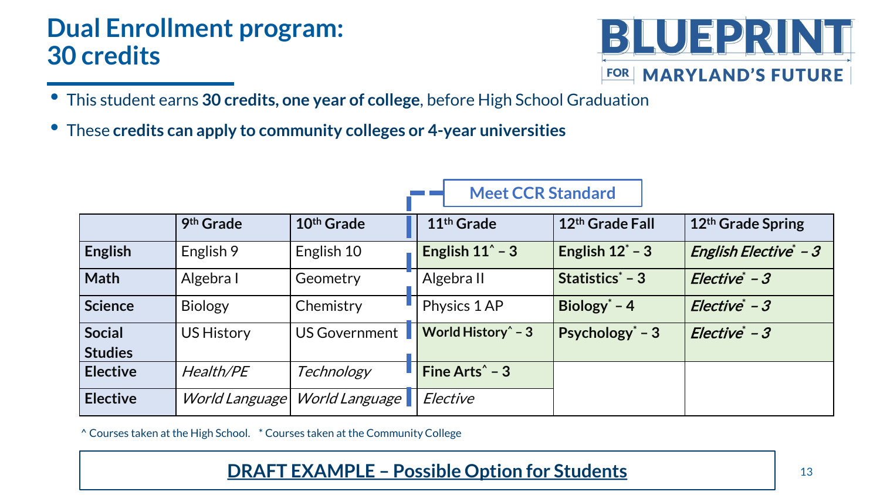### **Dual Enrollment program: 30 credits**



- This student earns **30 credits, one year of college**, before High School Graduation
- These **credits can apply to community colleges or 4-year universities**

|                                 | 9th Grade         | 10 <sup>th</sup> Grade | 11 <sup>th</sup> Grade     | 12th Grade Fall    | 12th Grade Spring     |
|---------------------------------|-------------------|------------------------|----------------------------|--------------------|-----------------------|
| <b>English</b>                  | English 9         | English 10             | English $11^{\degree}$ - 3 | English $12^*$ – 3 | English Elective* - 3 |
| <b>Math</b>                     | Algebra I         | Geometry               | Algebra II                 | Statistics $-3$    | $Electric^*-3$        |
| <b>Science</b>                  | <b>Biology</b>    | Chemistry              | Physics 1 AP               | Biology $-4$       | Elective* - 3         |
| <b>Social</b><br><b>Studies</b> | <b>US History</b> | US Government          | World History $\hat{}$ - 3 | Psychology $-3$    | $Electric^*$ - 3      |
| <b>Elective</b>                 | Health/PE         | Technology             | Fine Arts $\hat{}$ - 3     |                    |                       |
| <b>Elective</b>                 | World Language    | World Language         | Elective                   |                    |                       |

**Meet CCR Standard**

^ Courses taken at the High School. \* Courses taken at the Community College

### **DRAFT EXAMPLE – Possible Option for Students** 13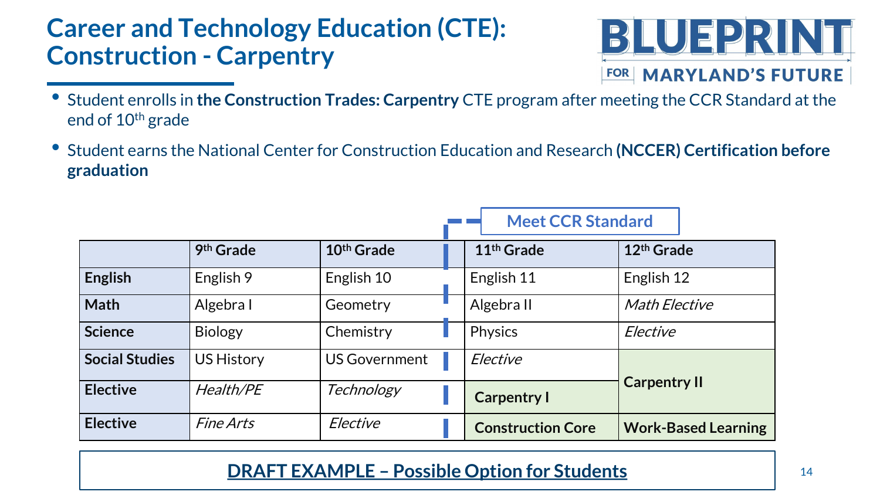### **Career and Technology Education (CTE): Construction - Carpentry**



- Student enrolls in **the Construction Trades: Carpentry** CTE program after meeting the CCR Standard at the end of 10th grade
- Student earns the National Center for Construction Education and Research **(NCCER) Certification before graduation**

|                       |                         |                        | <b>Meet CCR Standard</b> |                            |
|-----------------------|-------------------------|------------------------|--------------------------|----------------------------|
|                       | 9 <sup>th</sup> Grade   | 10 <sup>th</sup> Grade | 11 <sup>th</sup> Grade   | 12 <sup>th</sup> Grade     |
| <b>English</b>        | English 9               | English 10             | English 11               | English 12                 |
| <b>Math</b>           | Algebra I               | Geometry               | Algebra II               | <b>Math Elective</b>       |
| <b>Science</b>        | <b>Biology</b>          | Chemistry              | <b>Physics</b>           | Elective                   |
| <b>Social Studies</b> | <b>US History</b>       | <b>US Government</b>   | Elective                 |                            |
| <b>Elective</b>       | Health/PE               | Technology             | <b>Carpentry I</b>       | <b>Carpentry II</b>        |
| <b>Elective</b>       | <i><b>Fine Arts</b></i> | Elective               | <b>Construction Core</b> | <b>Work-Based Learning</b> |

#### **DRAFT EXAMPLE – Possible Option for Students** 14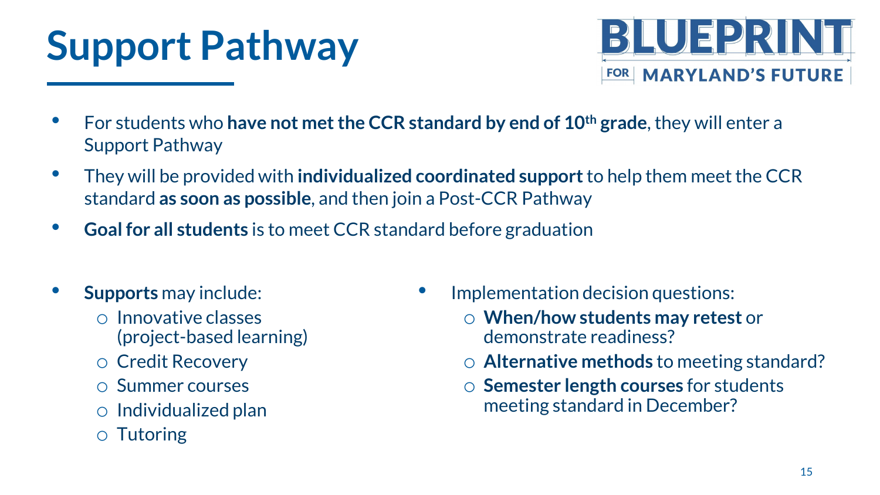# **Support Pathway**



- For students who **have not met the CCR standard by end of 10th grade**, they will enter a Support Pathway
- They will be provided with **individualized coordinated support** to help them meet the CCR standard **as soon as possible**, and then join a Post-CCR Pathway
- **Goal for all students** is to meet CCR standard before graduation
- **Supports** may include:
	- o Innovative classes (project-based learning)
	- o Credit Recovery
	- o Summer courses
	- o Individualized plan
	- o Tutoring
- Implementation decision questions:
	- o **When/how students may retest** or demonstrate readiness?
	- o **Alternative methods** to meeting standard?
	- o **Semester length courses** for students meeting standard in December?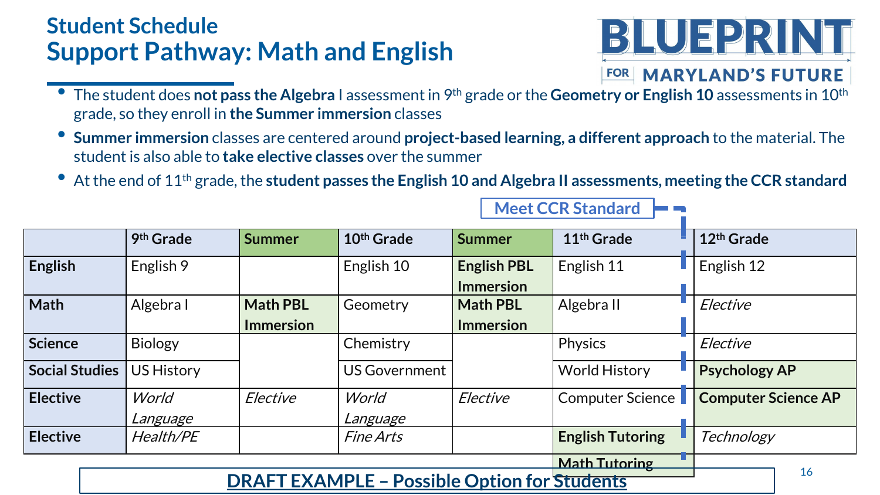### **Student Schedule Support Pathway: Math and English**



- The student does **not pass the Algebra** I assessment in 9th grade or the **Geometry or English 10** assessments in 10th grade, so they enroll in **the Summer immersion** classes
- **Summer immersion** classes are centered around **project-based learning, a different approach** to the material. The student is also able to **take elective classes** over the summer
- At the end of 11th grade, the **student passes the English 10 and Algebra II assessments, meeting the CCR standard**

**Meet CCR Standard**

|                       | 9th Grade                                                 |                  | 10th Grade              | Summer             | 11 <sup>th</sup> Grade  |  | 12 <sup>th</sup> Grade     |  |
|-----------------------|-----------------------------------------------------------|------------------|-------------------------|--------------------|-------------------------|--|----------------------------|--|
|                       |                                                           | <b>Summer</b>    |                         |                    |                         |  |                            |  |
| <b>English</b>        | English 9                                                 |                  | English 10              | <b>English PBL</b> | English 11              |  | English 12                 |  |
|                       |                                                           |                  |                         | <b>Immersion</b>   |                         |  |                            |  |
| <b>Math</b>           | Algebra I                                                 | <b>Math PBL</b>  | Geometry                | <b>Math PBL</b>    | Algebra II              |  | Elective                   |  |
|                       |                                                           | <b>Immersion</b> |                         | <b>Immersion</b>   |                         |  |                            |  |
| <b>Science</b>        | <b>Biology</b>                                            |                  | Chemistry               |                    | Physics                 |  | Elective                   |  |
| <b>Social Studies</b> | <b>US History</b>                                         |                  | <b>US Government</b>    |                    | <b>World History</b>    |  | <b>Psychology AP</b>       |  |
| <b>Elective</b>       | World                                                     | Elective         | World                   | Elective           | <b>Computer Science</b> |  | <b>Computer Science AP</b> |  |
|                       | Language                                                  |                  | Language                |                    |                         |  |                            |  |
| <b>Elective</b>       | Health/PE                                                 |                  | <i><b>Fine Arts</b></i> |                    | <b>English Tutoring</b> |  | Technology                 |  |
| <b>Math Tutoring</b>  |                                                           |                  |                         |                    |                         |  |                            |  |
|                       | 16<br><b>DRAFT EXAMPLE - Possible Option for Students</b> |                  |                         |                    |                         |  |                            |  |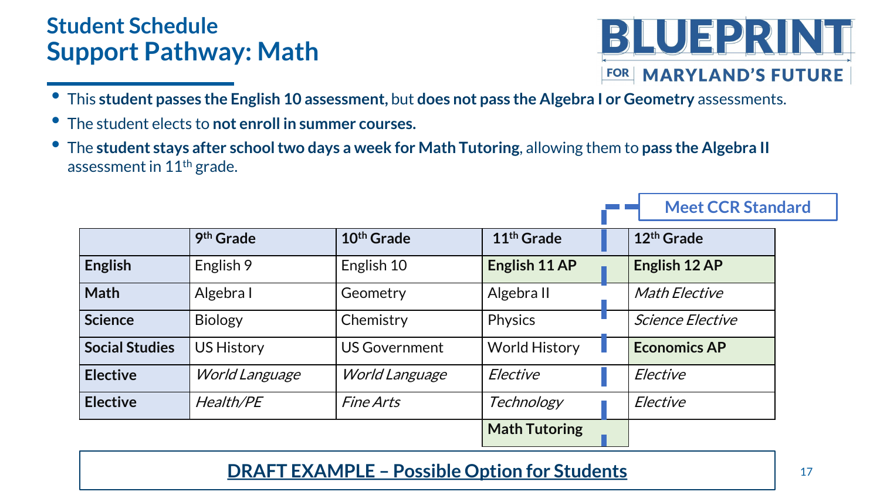### **Student Schedule Support Pathway: Math**



**Meet CCR Standard**

- This **student passes the English 10 assessment,** but **does not pass the Algebra I or Geometry** assessments.
- The student elects to **not enroll in summer courses.**
- The **student stays after school two days a week for Math Tutoring**, allowing them to **pass the Algebra II** assessment in 11th grade.

|                       | 9 <sup>th</sup> Grade | 10 <sup>th</sup> Grade | 11 <sup>th</sup> Grade |  | 12 <sup>th</sup> Grade  |
|-----------------------|-----------------------|------------------------|------------------------|--|-------------------------|
| <b>English</b>        | English 9             | English 10             | English 11 AP          |  | English 12 AP           |
| <b>Math</b>           | Algebra I             | Geometry               | Algebra II             |  | <b>Math Elective</b>    |
| <b>Science</b>        | <b>Biology</b>        | Chemistry              | <b>Physics</b>         |  | <i>Science Elective</i> |
| <b>Social Studies</b> | <b>US History</b>     | <b>US Government</b>   | <b>World History</b>   |  | <b>Economics AP</b>     |
| <b>Elective</b>       | <b>World Language</b> | <b>World Language</b>  | Elective               |  | Elective                |
| <b>Elective</b>       | <b>Health/PE</b>      | <b>Fine Arts</b>       | Technology             |  | Elective                |
|                       |                       |                        | <b>Math Tutoring</b>   |  |                         |

### **DRAFT EXAMPLE – Possible Option for Students** 17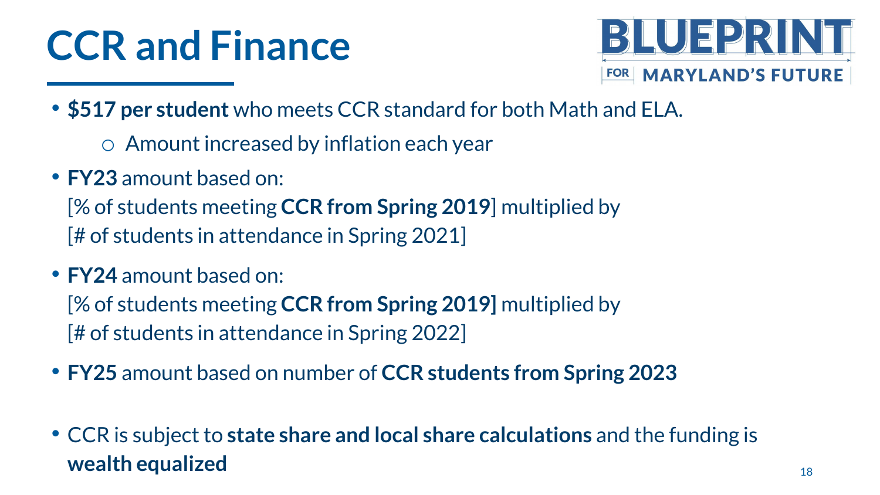# **CCR and Finance**



- **\$517 per student** who meets CCR standard for both Math and ELA.
	- o Amount increased by inflation each year
- **FY23** amount based on:

[% of students meeting **CCR from Spring 2019**] multiplied by [# of students in attendance in Spring 2021]

• **FY24** amount based on:

[% of students meeting **CCR from Spring 2019]** multiplied by [# of students in attendance in Spring 2022]

- **FY25** amount based on number of **CCR students from Spring 2023**
- CCR is subject to **state share and local share calculations** and the funding is **wealth equalized** 18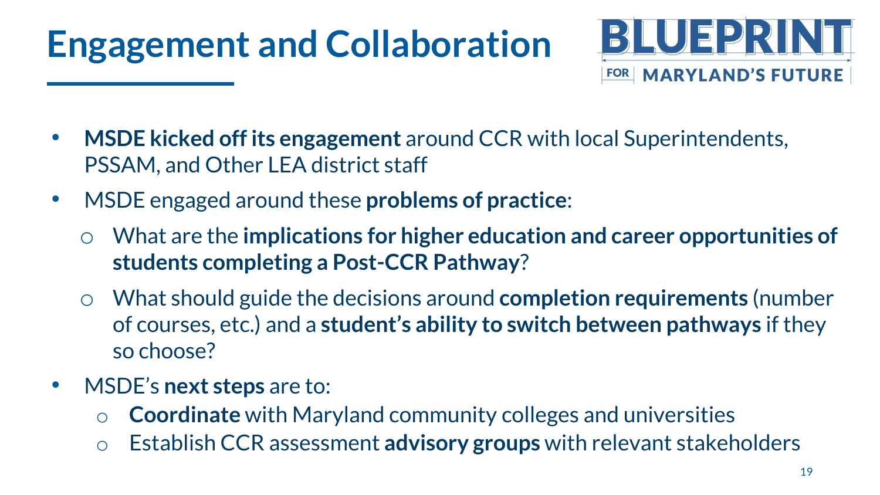## **Engagement and Collaboration**



- **MSDE kicked off its engagement** around CCR with local Superintendents, PSSAM, and Other LEA district staff
- MSDE engaged around these **problems of practice**:
	- What are the **implications for higher education and career opportunities of students completing a Post-CCR Pathway**?
	- What should guide the decisions around **completion requirements** (number of courses, etc.) and a **student's ability to switch between pathways** if they so choose?
- MSDE's **next steps** are to:
	- o **Coordinate** with Maryland community colleges and universities
	- o Establish CCR assessment **advisory groups** with relevant stakeholders